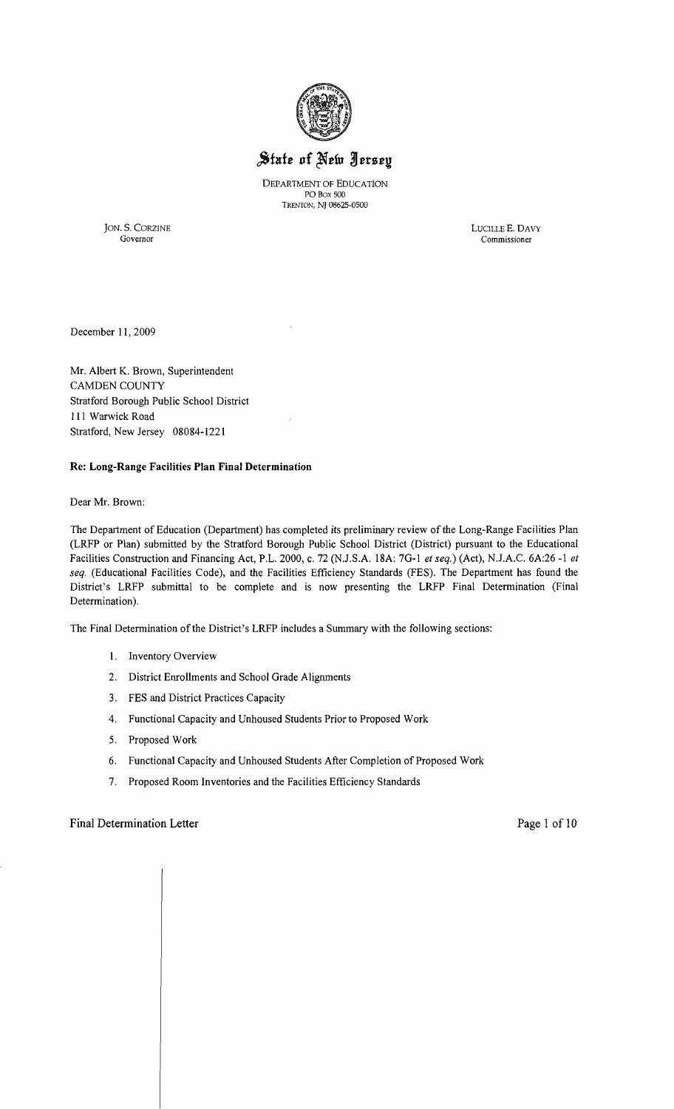

# State of New Jersey

DEPARTMENT OF EOUCATION PO Box 500 Trenton, NJ 08625-0500

JON. S. CORZINE LUCILLE E. DAVY Governor Commissioner Commissioner

December 11, 2009

Mr. Albert K. Brown, Superintendent CAMDEN COUNTY Stratford Borough Public School District 111 Warwick Road Stratford, New Jersey 08084-1221

#### Re: Long-Range Facilities Plan Final Determination

Dear Mr. Brown:

The Department of Education (Department) has completed its preliminary review of the Long-Range Facilities Plan (LRFP or Plan) submitted by the Stratford Borough Public School District (District) pursuant to the Educational Facilities Construction and Financing Act, P.L. 2000, c. 72 (NJ.S.A. 18A: 7G-l *et seq.)* (Act), NJ.A.C. 6A:26 -1 *et seq.* (Educational Facilities Code), and the Facilities Efficiency Standards (FES). The Department has found the District's LRFP submittal to be complete and is now presenting the LRFP Final Determination (Final Determination).

The Final Determination ofthe District's LRFP includes a Summary with the following sections:

- 1. Inventory Overview
- 2. District Enrollments and School Grade Alignments
- 3. FES and District Practices Capacity
- 4. Functional Capacity and Unhoused Students Prior to Proposed Work
- 5. Proposed Work
- 6. Functional Capacity and Unhoused Students After Completion of Proposed Work
- 7. Proposed Room Inventories and the Facilities Efficiency Standards

## Final Determination Letter **Page 1** of 10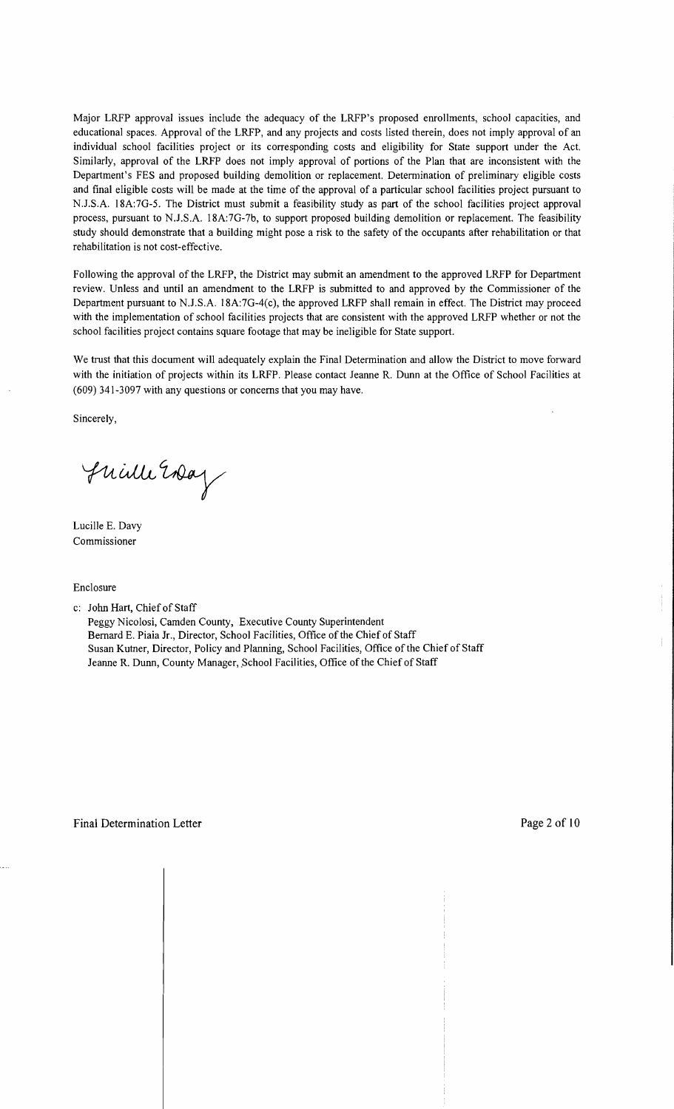Major LRFP approval issues include the adequacy of the LRFP's proposed enrollments, school capacities, and educational spaces. Approval of the LRFP, and any projects and costs listed therein, does not imply approval of an individual school facilities project or its corresponding costs and eligibility for State support under the Act. Similarly, approval of the LRFP does not imply approval of portions of the Plan that are inconsistent with the Department's FES and proposed building demolition or replacement. Determination of preliminary eligible costs and final eligible costs will be made at the time of the approval of a particular school facilities project pursuant to NJ.S.A. l8A:7G-5. The District must submit a feasibility study as part of the school facilities project approval process, pursuant to NJ.S.A. 18A:7G-7b, to support proposed building demolition or replacement. The feasibility study should demonstrate that a building might pose a risk to the safety of the occupants after rehabilitation or that rehabilitation is not cost-effective.

Following the approval of the LRFP, the District may submit an amendment to the approved LRFP for Department review. Unless and until an amendment to the LRFP is submitted to and approved by the Commissioner of the Department pursuant to NJ.S.A. l8A:7G-4(c), the approved LRFP shall remain in effect. The District may proceed with the implementation of school facilities projects that are consistent with the approved LRFP whether or not the school facilities project contains square footage that may be ineligible for State support.

We trust that this document will adequately explain the Final Determination and allow the District to move forward with the initiation of projects within its LRFP. Please contact Jeanne R. Dunn at the Office of School Facilities at (609) 341-3097 with any questions or concerns that you may have.

Sincerely,

Juille Erday

Lucille E. Davy Commissioner

Enclosure

c: John Hart, Chief of Staff

Peggy Nicolosi, Camden County, Executive County Superintendent Bernard E. Piaia Jr., Director, School Facilities, Office of the Chief of Staff Susan Kutner, Director, Policy and Planning, School Facilities, Office of the Chief of Staff Jeanne R. Dunn, County Manager, School Facilities, Office of the Chief of Staff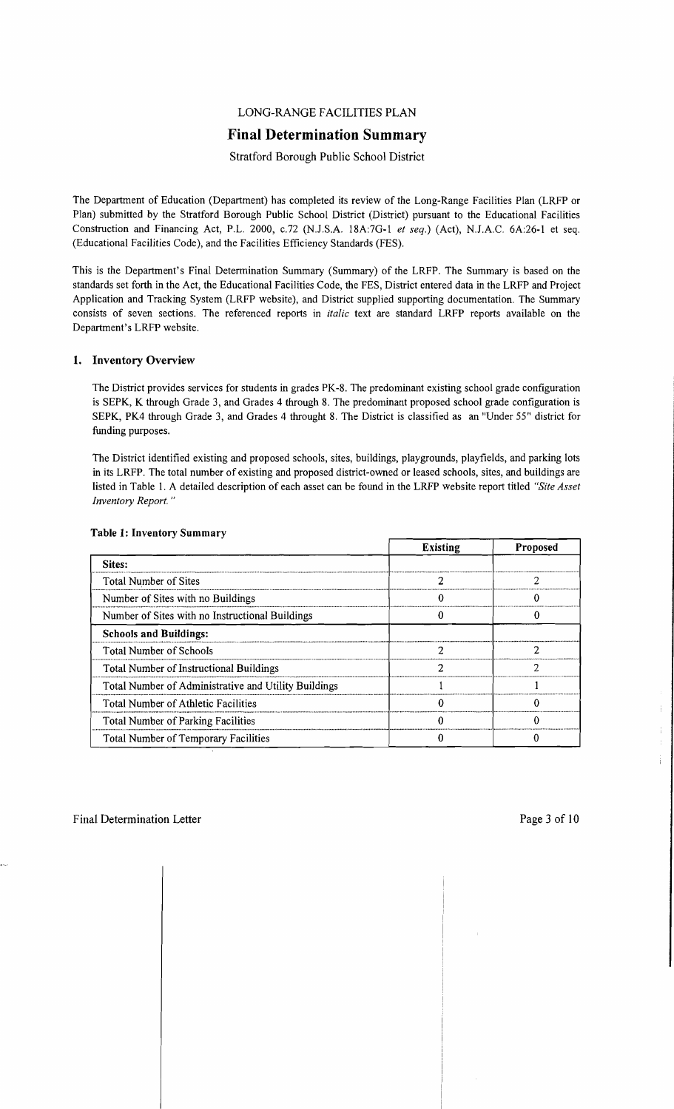## LONG-RANGE FACILITIES PLAN

## **Final Determination Summary**

## Stratford Borough Public School District

The Department of Education (Department) has completed its review of the Long-Range Facilities Plan (LRFP or Plan) submitted by the Stratford Borough Public School District (District) pursuant to the Educational Facilities Construction and Financing Act, P.L. 2000, *c.72* (N.J.S.A. 18A:7G-1 *et seq.*) (Act), N.J.A.C. 6A:26-1 et seq. (Educational Facilities Code), and the Facilities Efficiency Standards (FES).

This is the Department's Final Determination Summary (Summary) of the LRFP. The Summary is based on the standards set forth in the Act, the Educational Facilities Code, the FES, District entered data in the LRFP and Project Application and Tracking System (LRFP website), and District supplied supporting documentation. The Summary consists of seven sections. The referenced reports in *italic* text are standard LRFP reports available on the Department's LRFP website.

## 1. Inventory Overview

The District provides services for students in grades PK-8. The predominant existing school grade configuration is SEPK, K through Grade 3, and Grades 4 through 8. The predominant proposed school grade configuration is SEPK, PK4 through Grade 3, and Grades 4 throught 8. The District is classified as an "Under 55" district for funding purposes.

The District identified existing and proposed schools, sites, buildings, playgrounds, playfields, and parking lots in its LRFP. The total number of existing and proposed district-owned or leased schools, sites, and buildings are listed in Table 1. A detailed description of each asset can be found in the LRFP website report titled *"Site Asset Inventory Report. "* 

|                                                      | <b>Existing</b> | <b>Proposed</b> |
|------------------------------------------------------|-----------------|-----------------|
| Sites:                                               |                 |                 |
| <b>Total Number of Sites</b>                         |                 |                 |
| Number of Sites with no Buildings                    |                 |                 |
| Number of Sites with no Instructional Buildings      |                 |                 |
| <b>Schools and Buildings:</b>                        |                 |                 |
| <b>Total Number of Schools</b>                       |                 |                 |
| Total Number of Instructional Buildings              |                 | ን               |
| Total Number of Administrative and Utility Buildings |                 |                 |
| Total Number of Athletic Facilities                  |                 |                 |
| Total Number of Parking Facilities                   |                 |                 |
| Total Number of Temporary Facilities                 |                 |                 |

#### Table 1: Inventory Summary

 $\overline{\phantom{a}}$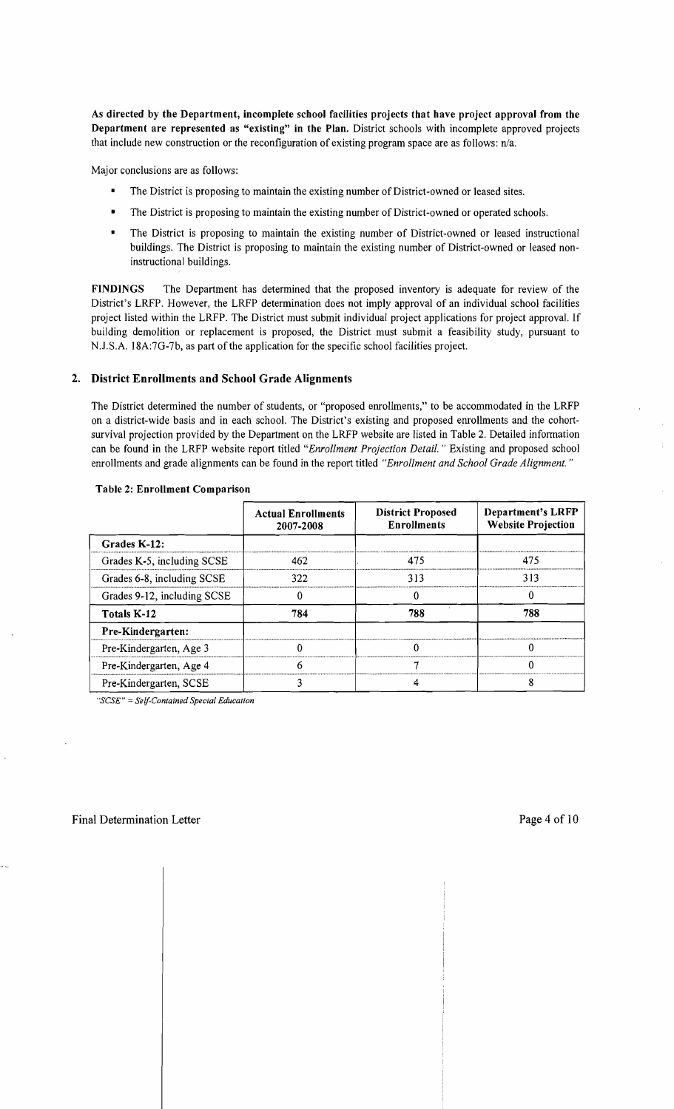As directed by the Department, incomplete school facilities projects that have project approval from the Department are represented as "existing" in the Plan. District schools with incomplete approved projects that include new construction or the reconfiguration of existing program space are as follows:  $n/a$ .

Major conclusions are as follows:

- The District is proposing to maintain the existing number of District-owned or leased sites.
- The District is proposing to maintain the existing number of District-owned or operated schools.
- The District is proposing to maintain the existing number of District-owned or leased instructional buildings. The District is proposing to maintain the existing number of District-owned or leased noninstructional buildings.

FINDINGS The Department has determined that the proposed inventory is adequate for review of the District's LRFP. However, the LRFP determination does not imply approval of an individual school facilities project listed within the LRFP. The District must submit individual project applications for project approval. If building demolition or replacement is proposed, the District must submit a feasibility study, pursuant to N.J.S.A. 18A:7G-7b, as part of the application for the specific school facilities project.

#### 2. District Enrollments and School Grade Alignments

The District determined the number of students, or "proposed enrollments," to be accommodated in the LRFP on a district-wide basis and in each school. The District's existing and proposed enrollments and the cohortsurvival projection provided by the Department on the LRFP website are listed in Table 2. Detailed information can be found in the LRFP website report titled *"Enrollment Projection Detail.* " Existing and proposed school enrollments and grade alignments can be found in the report titled *"Enrollment and School Grade Alignment. "* 

|                             | <b>Actual Enrollments</b><br>2007-2008 | <b>District Proposed</b><br><b>Enrollments</b> | Department's LRFP<br><b>Website Projection</b> |
|-----------------------------|----------------------------------------|------------------------------------------------|------------------------------------------------|
| Grades K-12:                |                                        |                                                |                                                |
| Grades K-5, including SCSE  | 462                                    | 475                                            | 475                                            |
| Grades 6-8, including SCSE  | 322                                    | 313                                            | 313                                            |
| Grades 9-12, including SCSE |                                        |                                                |                                                |
| Totals K-12                 | 784                                    | 788                                            | 788                                            |
| Pre-Kindergarten:           |                                        |                                                |                                                |
| Pre-Kindergarten, Age 3     |                                        |                                                |                                                |
| Pre-Kindergarten, Age 4     |                                        |                                                |                                                |
| Pre-Kindergarten, SCSE      |                                        |                                                |                                                |

#### Table 2: Enrollment Comparison

*"SCSE"* = *Self-Contained Special Education*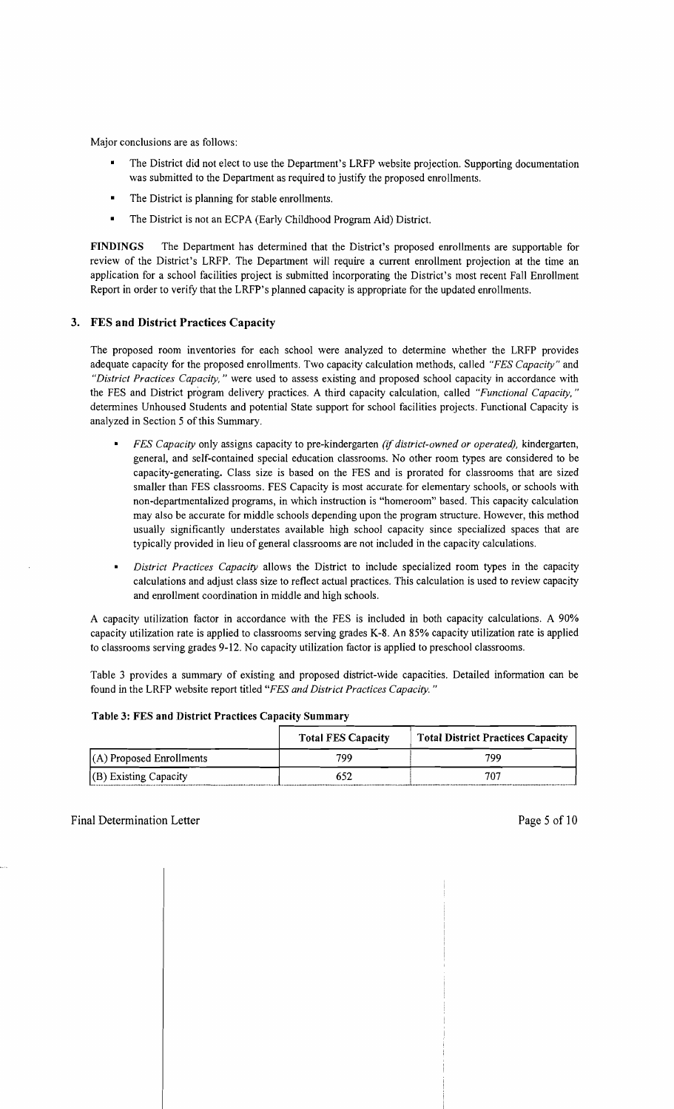Major conclusions are as follows:

- $\blacksquare$ The District did not elect to use the Department's LRFP website projection. Supporting documentation was submitted to the Department as required to justify the proposed enrollments.
- The District is planning for stable enrollments.
- The District is not an ECPA (Early Childhood Program Aid) District.

FINDINGS The Department has determined that the District's proposed enrollments are supportable for review of the District's LRFP. The Department will require a current enrollment projection at the time an application for a school facilities project is submitted incorporating the District's most recent Fall Enrollment Report in order to verify that the LRFP's planned capacity is appropriate for the updated enrollments.

## 3. FES and District Practices Capacity

The proposed room inventories for each school were analyzed to determine whether the LRFP provides adequate capacity for the proposed enrollments. Two capacity calculation methods, called *"FES Capacity"* and *"District Practices Capacity,* " were used to assess existing and proposed school capacity in accordance with the FES and District program delivery practices. A third capacity calculation, called *"Functional Capacity, "*  determines Unhoused Students and potential State support for school facilities projects. Functional Capacity is analyzed in Section 5 of this Summary.

- *FES Capacity* only assigns capacity to pre-kindergarten *(if district-owned or operated),* kindergarten, general, and self-contained special education classrooms. No other room types are considered to be capacity-generating. Class size is based on the FES and is prorated for classrooms that are sized smaller than FES classrooms. FES Capacity is most accurate for elementary schools, or schools with non-departmentalized programs, in which instruction is "homeroom" based. This capacity calculation may also be accurate for middle schools depending upon the program structure. However, this method usually significantly understates available high school capacity since specialized spaces that are typically provided in lieu of general classrooms are not included in the capacity calculations.
- *District Practices Capacity* allows the District to include specialized room types in the capacity calculations and adjust class size to reflect actual practices. This calculation is used to review capacity and enrollment coordination in middle and high schools.

A capacity utilization factor in accordance with the FES is included in both capacity calculations. A 90% capacity utilization rate is applied to classrooms serving grades K-8. An 85% capacity utilization rate is applied to classrooms serving grades 9-12. No capacity utilization factor is applied to preschool classrooms.

Table 3 provides a summary of existing and proposed district-wide capacities. Detailed information can be found in the LRFP website report titled *"FES and District Practices Capacity. "* 

| Table 3: FES and District Practices Capacity Summary |                           |                                          |  |  |
|------------------------------------------------------|---------------------------|------------------------------------------|--|--|
|                                                      | <b>Total FES Capacity</b> | <b>Total District Practices Capacity</b> |  |  |
| $(A)$ Proposed Enrollments                           | 799                       | 799                                      |  |  |
| $(G)$ Existing Capacity                              | 652                       | 707                                      |  |  |

#### Table 3: FES and District Practices Capacity Summary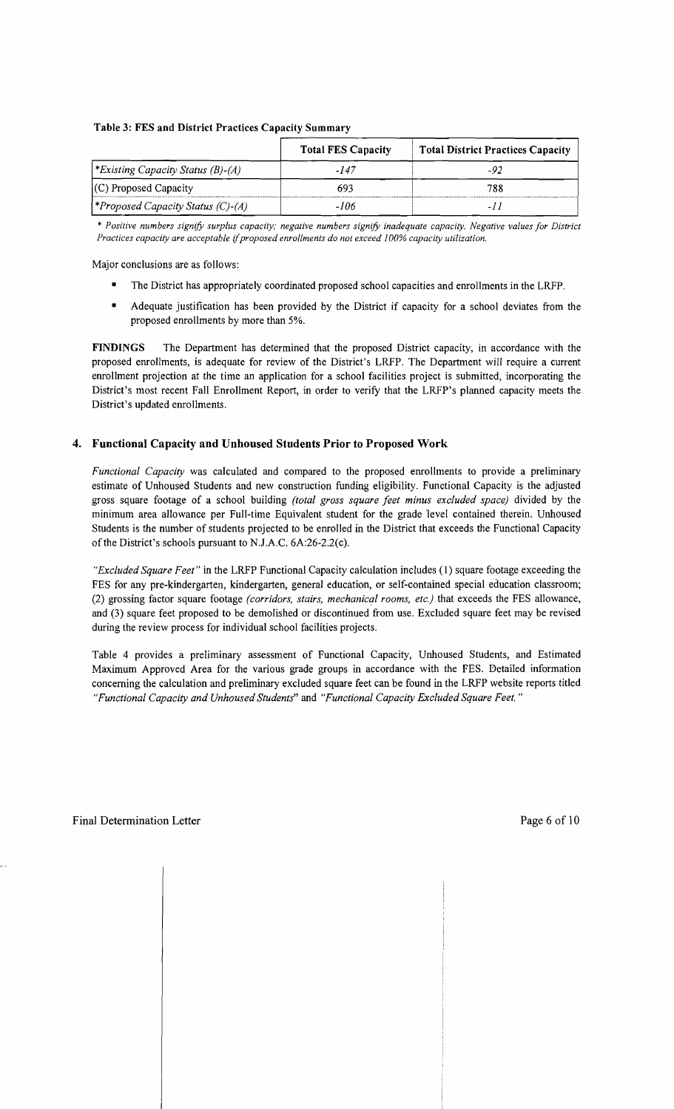### Table 3: FES and District Practices Capacity Summary

|                                           | <b>Total FES Capacity</b> | <b>Total District Practices Capacity</b> |
|-------------------------------------------|---------------------------|------------------------------------------|
| <i>Existing Capacity Status (B)-(A)</i>   | -147                      |                                          |
| $(C)$ Proposed Capacity                   | 693                       | 788                                      |
| <i>(*Proposed Capacity Status (C)-(A)</i> | -106                      |                                          |

\* *Positive numbers signifY surplus capacity; negative numbers signifY inadequate capacity. Negative values for District Practices capacity are acceptable* if*proposed enrollments do not exceed 100% capacity utilization.* 

Major conclusions are as follows:

- The District has appropriately coordinated proposed school capacities and enrollments in the LRFP.
- Adequate justification has been provided by the District if capacity for a school deviates from the proposed enrollments by more than 5%.

FINDINGS The Department has determined that the proposed District capacity, in accordance with the proposed enrollments, is adequate for review of the District's LRFP. The Department will require a current enrollment projection at the time an application for a school facilities project is submitted, incorporating the District's most recent Fall Enrollment Report, in order to verify that the LRFP's planned capacity meets the District's updated enrollments.

## 4. Functional Capacity and Unhoused Students Prior to Proposed Work

*Functional Capacity* was calculated and compared to the proposed enrollments to provide a preliminary estimate of Unhoused Students and new construction funding eligibility. Functional Capacity is the adjusted gross square footage of a school building *(total gross square feet minus excluded space)* divided by the minimum area allowance per Full-time Equivalent student for the grade 'level contained therein. Unhoused Students is the number of students projected to be enrolled in the District that exceeds the Functional Capacity of the District's schools pursuant to NJ.A.C. 6A:26-2.2(c).

*"Excluded Square Feet"* in the LRFP Functional Capacity calculation includes (1) square footage exceeding the FES for any pre-kindergarten, kindergarten, general education, or self-contained special education classroom; (2) grossing factor square footage *(corridors, stairs, mechanical rooms, etc.)* that exceeds the FES allowance, and (3) square feet proposed to be demolished or discontinued from use. Excluded square feet may be revised during the review process for individual school facilities projects.

Table 4 provides a preliminary assessment of Functional Capacity, Unhoused Students, and Estimated Maximum Approved Area for the various grade groups in accordance with the FES. Detailed information concerning the calculation and preliminary excluded square feet can be found in the LRFP website reports titled *"Functional Capacity and Unhoused Students"* and *"Functional Capacity Excluded Square Feet. "*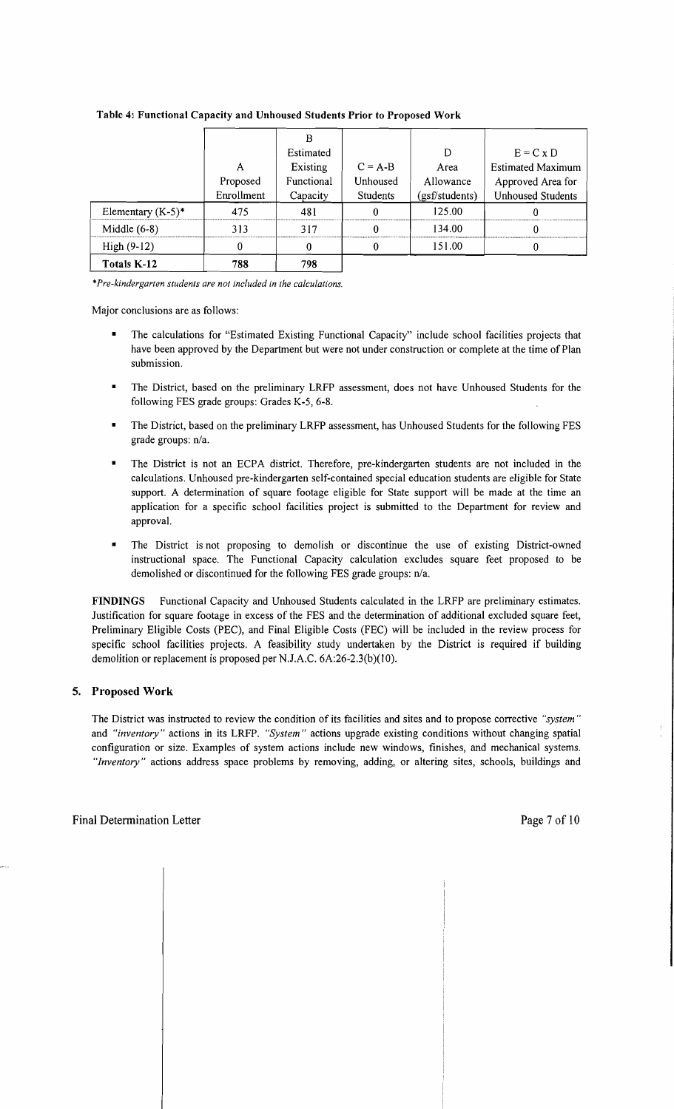|                      |            | в          |           |                |                          |
|----------------------|------------|------------|-----------|----------------|--------------------------|
|                      |            | Estimated  |           | D              | $E = C x D$              |
|                      | A          | Existing   | $C = A-B$ | Area           | <b>Estimated Maximum</b> |
|                      | Proposed   | Functional | Unhoused  | Allowance      | Approved Area for        |
|                      | Enrollment | Capacity   | Students  | (gsf/students) | <b>Unhoused Students</b> |
| Elementary $(K-5)^*$ | 475        | 481        |           | 125.00         |                          |
| Middle $(6-8)$       | 313        | 317        |           | 134.00         |                          |
| $High (9-12)$        | 0          |            |           | 151.00         |                          |
| Totals K-12          | 788        | 798        |           |                |                          |

#### Table 4: Functional Capacity and Unhoused Students Prior to Proposed Work

\**Pre-kindergarten students are not included in the calculations.* 

Major conclusions are as follows:

- The calculations for "Estimated Existing Functional Capacity" include school facilities projects that have been approved by the Department but were not under construction or complete at the time of Plan submission.
- The District, based on the preliminary LRFP assessment, does not have Unhoused Students for the following FES grade groups: Grades K-5, 6-8.
- The District, based on the preliminary LRFP assessment, has Unhoused Students for the following FES grade groups: n/a.
- The District is not an ECPA district. Therefore, pre-kindergarten students are not included in the calculations. Unhoused pre-kindergarten self-contained special education students are eligible for State support. A determination of square footage eligible for State support will be made at the time an application for a specific school facilities project is submitted to the Department for review and approval.
- The District is not proposing to demolish or discontinue the use of existing District-owned instructional space. The Functional Capacity calculation excludes square feet proposed to be demolished or discontinued for the following FES grade groups: n/a.

FINDINGS Functional Capacity and Unhoused Students calculated in the LRFP are preliminary estimates. Justification for square footage in excess of the FES and the determination of additional excluded square feet, Preliminary Eligible Costs (PEC), and Final Eligible Costs (FEC) will be included in the review process for specific school facilities projects. A feasibility study undertaken by the District is required if building demolition or replacement is proposed per N.J.A.C. 6A:26-2.3(b)(10).

#### 5. Proposed Work

The District was instructed to review the condition of its facilities and sites and to propose corrective *"system"*  and *"inventory"* actions in its LRFP. *"System"* actions upgrade existing conditions without changing spatial configuration or size. Examples of system actions include new windows, finishes, and mechanical systems. *"Inventory"* actions address space problems by removing, adding, or altering sites, schools, buildings and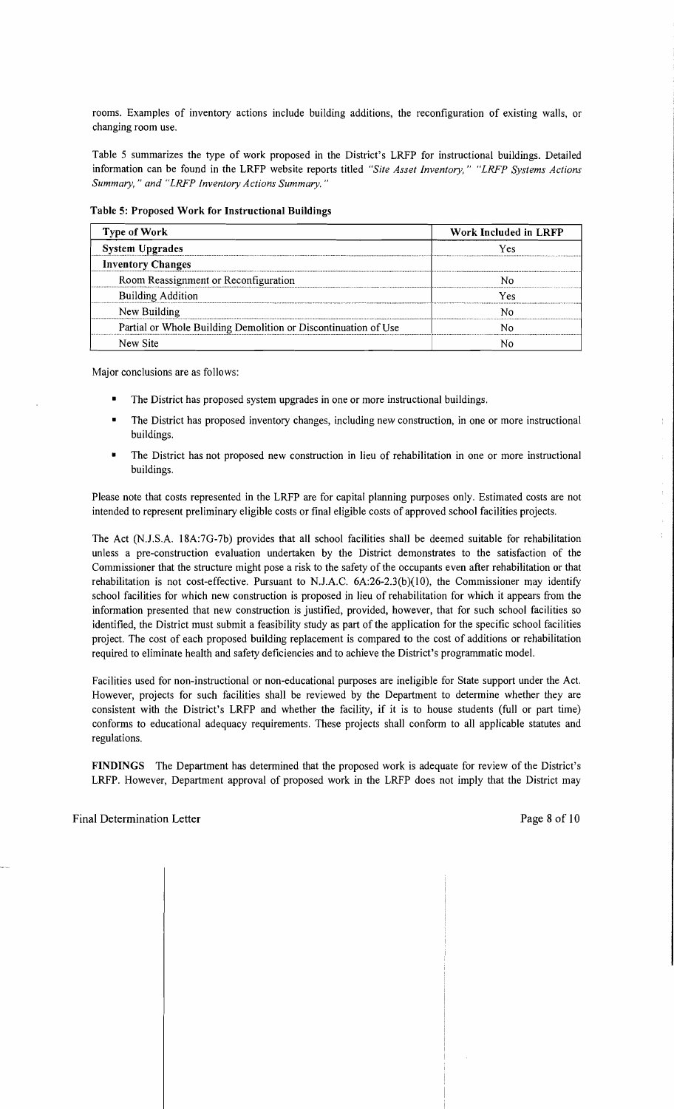rooms. Examples of inventory actions include building additions, the reconfiguration of existing walls, or changing room use.

Table 5 summarizes the type of work proposed in the District's LRFP for instructional buildings. Detailed information can be found in the LRFP website reports titled *"Site Asset Inventory," "LRFP Systems Actions Summary,* " *and "LRFP Inventory Actions Summary. "* 

#### Table 5: Proposed Work for Instructional Buildings

| <b>Type of Work</b>                                            | Work Included in LRFP<br>Yes |  |
|----------------------------------------------------------------|------------------------------|--|
| <b>System Upgrades</b>                                         |                              |  |
| <b>Inventory Changes</b>                                       |                              |  |
| Room Reassignment or Reconfiguration                           |                              |  |
| <b>Building Addition</b>                                       | Yes                          |  |
| New Building                                                   |                              |  |
| Partial or Whole Building Demolition or Discontinuation of Use |                              |  |
| New Site                                                       |                              |  |

Major conclusions are as follows:

- The District has proposed system upgrades in one or more instructional buildings.
- The District has proposed inventory changes, including new construction, in one or more instructional buildings.
- The District has not proposed new construction in lieu of rehabilitation in one or more instructional buildings.

Please note that costs represented in the LRFP are for capital planning purposes only. Estimated costs are not intended to represent preliminary eligible costs or final eligible costs of approved school facilities projects.

The Act (NJ.S.A. 18A:7G-7b) provides that all school facilities shall be deemed suitable for rehabilitation unless a pre-construction evaluation undertaken by the District demonstrates to the satisfaction of the Commissioner that the structure might pose a risk to the safety of the occupants even after rehabilitation or that rehabilitation is not cost-effective. Pursuant to N.J.A.C.  $6A:26-2.3(b)(10)$ , the Commissioner may identify school facilities for which new construction is proposed in lieu of rehabilitation for which it appears from the information presented that new construction is justified, provided, however, that for such school facilities so identified, the District must submit a feasibility study as part of the application for the specific school facilities project. The cost of each proposed building replacement is compared to the cost of additions or rehabilitation required to eliminate health and safety deficiencies and to achieve the District's programmatic model.

Facilities used for non-instructional or non-educational purposes are ineligible for State support under the Act. However, projects for such facilities shall be reviewed by the Department to determine whether they are consistent with the District's LRFP and whether the facility, if it is to house students (full or part time) conforms to educational adequacy requirements. These projects shall conform to all applicable statutes and regulations.

FINDINGS The Department has determined that the proposed work is adequate for review of the District's LRFP. However, Department approval of proposed work in the LRFP does not imply that the District may ÷

 $\mathcal{L}^{\mathcal{L}}$ 

 $\bar{1}$ 

Ť.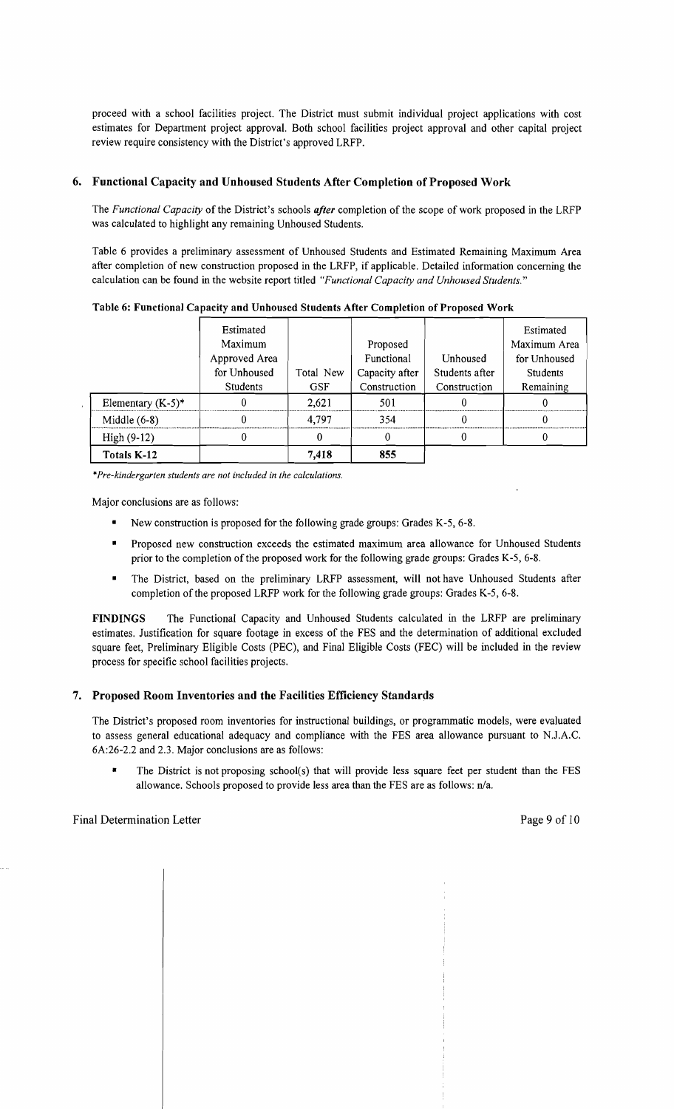proceed with a school facilities project. The District must submit individual project applications with cost estimates for Department project approval. Both school facilities project approval and other capital project review require consistency with the District's approved LRFP.

## 6. Functional Capacity and Unhoused Students After Completion of Proposed Work

The *Functional Capacity* of the District's schools *after* completion of the scope of work proposed in the LRFP was calculated to highlight any remaining Unhoused Students.

Table 6 provides a preliminary assessment of Unhoused Students and Estimated Remaining Maximum Area after completion of new construction proposed in the LRFP, if applicable. Detailed information concerning the calculation can be found in the website report titled *"Functional Capacity and Unhoused Students."* 

|                      | Estimated<br>Maximum<br>Approved Area<br>for Unhoused<br><b>Students</b> | Total New<br><b>GSF</b> | Proposed<br>Functional<br>Capacity after<br>Construction | Unhoused<br>Students after<br>Construction | Estimated<br>Maximum Area<br>for Unhoused<br><b>Students</b><br>Remaining |
|----------------------|--------------------------------------------------------------------------|-------------------------|----------------------------------------------------------|--------------------------------------------|---------------------------------------------------------------------------|
| Elementary $(K-5)^*$ |                                                                          | 2,621                   | 501                                                      |                                            |                                                                           |
| Middle $(6-8)$       |                                                                          | 4.797                   | 354                                                      |                                            | u                                                                         |
| $High (9-12)$        |                                                                          |                         |                                                          |                                            |                                                                           |
| Totals K-12          |                                                                          | 7.418                   | 855                                                      |                                            |                                                                           |

Table 6: Functional Capacity and Unhoused Students After Completion of Proposed Work

*\*Pre-kindergarten students are not included in the calculations.* 

Major conclusions are as follows:

- New construction is proposed for the following grade groups: Grades K-5, 6-8.
- Proposed new construction exceeds the estimated maximum area allowance for Unhoused Students prior to the completion of the proposed work for the following grade groups: Grades K-5, 6-8.
- The District, based on the preliminary LRFP assessment, will not have Unhoused Students after completion of the proposed LRFP work for the following grade groups: Grades K-5, 6-8.

FINDINGS The Functional Capacity and Unhoused Students calculated in the LRFP are preliminary estimates. Justification for square footage in excess of the FES and the determination of additional excluded square feet, Preliminary Eligible Costs (PEC), and Final Eligible Costs (FEC) will be included in the review process for specific school facilities projects.

## 7. Proposed Room Inventories and the Facilities Efficiency Standards

The District's proposed room inventories for instructional buildings, or programmatic models, were evaluated to assess general educational adequacy and compliance with the FES area allowance pursuant to NJ.A.C. 6A:26-2.2 and 2.3. Major conclusions are as follows:

• The District is not proposing school(s) that will provide less square feet per student than the FES allowance. Schools proposed to provide less area than the FES are as follows: n/a.